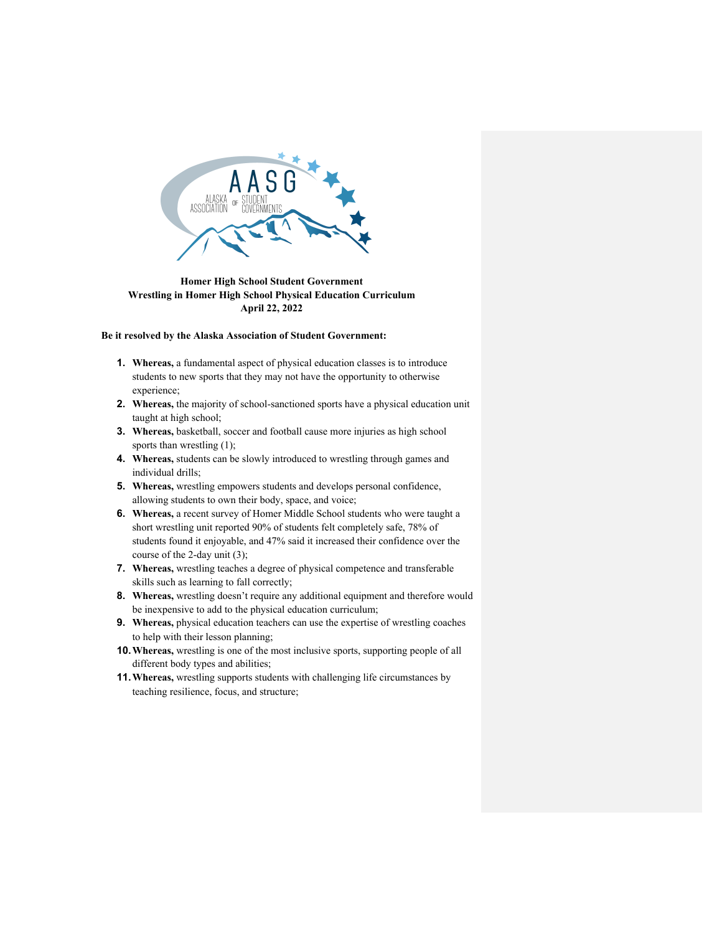

**Homer High School Student Government Wrestling in Homer High School Physical Education Curriculum April 22, 2022**

**Be it resolved by the Alaska Association of Student Government:** 

- **1. Whereas,** a fundamental aspect of physical education classes is to introduce students to new sports that they may not have the opportunity to otherwise experience;
- **2. Whereas,** the majority of school-sanctioned sports have a physical education unit taught at high school;
- **3. Whereas,** basketball, soccer and football cause more injuries as high school sports than wrestling  $(1)$ ;
- **4. Whereas,** students can be slowly introduced to wrestling through games and individual drills;
- **5. Whereas,** wrestling empowers students and develops personal confidence, allowing students to own their body, space, and voice;
- **6. Whereas,** a recent survey of Homer Middle School students who were taught a short wrestling unit reported 90% of students felt completely safe, 78% of students found it enjoyable, and 47% said it increased their confidence over the course of the 2-day unit (3);
- **7. Whereas,** wrestling teaches a degree of physical competence and transferable skills such as learning to fall correctly;
- **8. Whereas,** wrestling doesn't require any additional equipment and therefore would be inexpensive to add to the physical education curriculum;
- **9. Whereas,** physical education teachers can use the expertise of wrestling coaches to help with their lesson planning;
- **10.Whereas,** wrestling is one of the most inclusive sports, supporting people of all different body types and abilities;
- **11.Whereas,** wrestling supports students with challenging life circumstances by teaching resilience, focus, and structure;